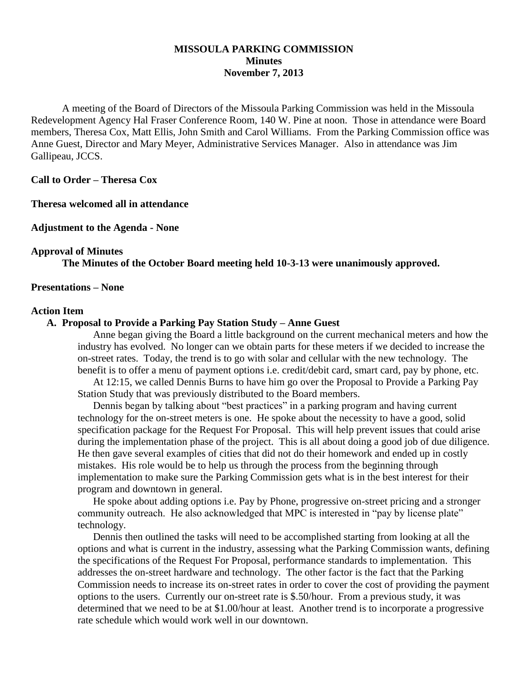## **MISSOULA PARKING COMMISSION Minutes November 7, 2013**

A meeting of the Board of Directors of the Missoula Parking Commission was held in the Missoula Redevelopment Agency Hal Fraser Conference Room, 140 W. Pine at noon. Those in attendance were Board members, Theresa Cox, Matt Ellis, John Smith and Carol Williams. From the Parking Commission office was Anne Guest, Director and Mary Meyer, Administrative Services Manager. Also in attendance was Jim Gallipeau, JCCS.

**Call to Order – Theresa Cox**

**Theresa welcomed all in attendance**

**Adjustment to the Agenda - None**

#### **Approval of Minutes**

**The Minutes of the October Board meeting held 10-3-13 were unanimously approved.**

#### **Presentations – None**

#### **Action Item**

#### **A. Proposal to Provide a Parking Pay Station Study – Anne Guest**

Anne began giving the Board a little background on the current mechanical meters and how the industry has evolved. No longer can we obtain parts for these meters if we decided to increase the on-street rates. Today, the trend is to go with solar and cellular with the new technology. The benefit is to offer a menu of payment options i.e. credit/debit card, smart card, pay by phone, etc.

At 12:15, we called Dennis Burns to have him go over the Proposal to Provide a Parking Pay Station Study that was previously distributed to the Board members.

Dennis began by talking about "best practices" in a parking program and having current technology for the on-street meters is one. He spoke about the necessity to have a good, solid specification package for the Request For Proposal. This will help prevent issues that could arise during the implementation phase of the project. This is all about doing a good job of due diligence. He then gave several examples of cities that did not do their homework and ended up in costly mistakes. His role would be to help us through the process from the beginning through implementation to make sure the Parking Commission gets what is in the best interest for their program and downtown in general.

He spoke about adding options i.e. Pay by Phone, progressive on-street pricing and a stronger community outreach. He also acknowledged that MPC is interested in "pay by license plate" technology.

Dennis then outlined the tasks will need to be accomplished starting from looking at all the options and what is current in the industry, assessing what the Parking Commission wants, defining the specifications of the Request For Proposal, performance standards to implementation. This addresses the on-street hardware and technology. The other factor is the fact that the Parking Commission needs to increase its on-street rates in order to cover the cost of providing the payment options to the users. Currently our on-street rate is \$.50/hour. From a previous study, it was determined that we need to be at \$1.00/hour at least. Another trend is to incorporate a progressive rate schedule which would work well in our downtown.